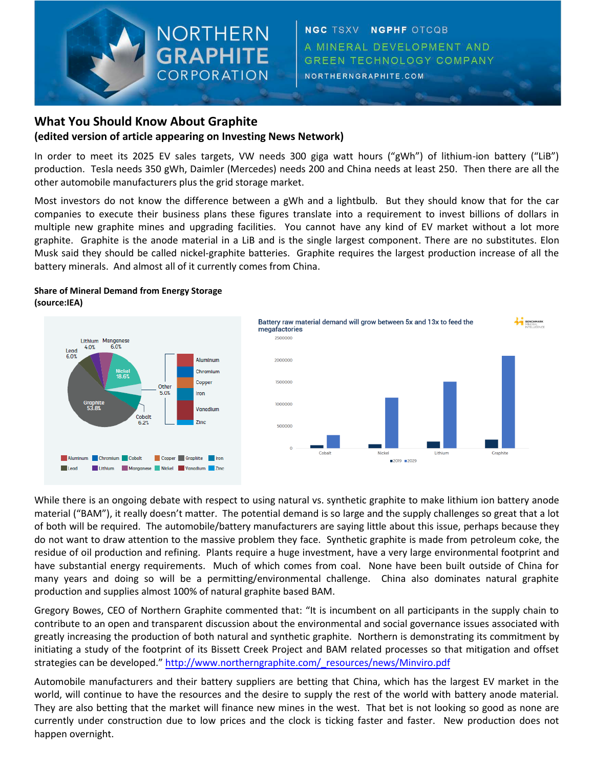## **What You Should Know About Graphite (edited version of article appearing on Investing News Network)**

NORTHERN

**GRAPHITE** 

CORPORATION

In order to meet its 2025 EV sales targets, VW needs 300 giga watt hours ("gWh") of lithium-ion battery ("LiB") production. Tesla needs 350 gWh, Daimler (Mercedes) needs 200 and China needs at least 250. Then there are all the other automobile manufacturers plus the grid storage market.

Most investors do not know the difference between a gWh and a lightbulb. But they should know that for the car companies to execute their business plans these figures translate into a requirement to invest billions of dollars in multiple new graphite mines and upgrading facilities. You cannot have any kind of EV market without a lot more graphite. Graphite is the anode material in a LiB and is the single largest component. There are no substitutes. Elon Musk said they should be called nickel-graphite batteries. Graphite requires the largest production increase of all the battery minerals. And almost all of it currently comes from China.

## **Share of Mineral Demand from Energy Storage (source:IEA)**





While there is an ongoing debate with respect to using natural vs. synthetic graphite to make lithium ion battery anode material ("BAM"), it really doesn't matter. The potential demand is so large and the supply challenges so great that a lot of both will be required. The automobile/battery manufacturers are saying little about this issue, perhaps because they do not want to draw attention to the massive problem they face. Synthetic graphite is made from petroleum coke, the residue of oil production and refining. Plants require a huge investment, have a very large environmental footprint and have substantial energy requirements. Much of which comes from coal. None have been built outside of China for many years and doing so will be a permitting/environmental challenge. China also dominates natural graphite production and supplies almost 100% of natural graphite based BAM.

Gregory Bowes, CEO of Northern Graphite commented that: "It is incumbent on all participants in the supply chain to contribute to an open and transparent discussion about the environmental and social governance issues associated with greatly increasing the production of both natural and synthetic graphite. Northern is demonstrating its commitment by initiating a study of the footprint of its Bissett Creek Project and BAM related processes so that mitigation and offset strategies can be developed." [http://www.northerngraphite.com/\\_resources/news/Minviro.pdf](http://www.northerngraphite.com/_resources/news/Minviro.pdf)

Automobile manufacturers and their battery suppliers are betting that China, which has the largest EV market in the world, will continue to have the resources and the desire to supply the rest of the world with battery anode material. They are also betting that the market will finance new mines in the west. That bet is not looking so good as none are currently under construction due to low prices and the clock is ticking faster and faster. New production does not happen overnight.